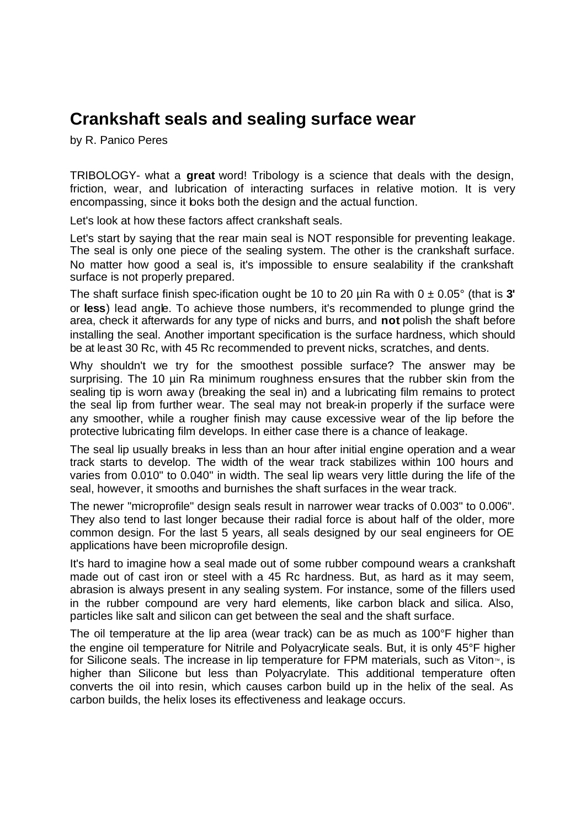## **Crankshaft seals and sealing surface wear**

by R. Panico Peres

TRIBOLOGY- what a **great** word! Tribology is a science that deals with the design, friction, wear, and lubrication of interacting surfaces in relative motion. It is very encompassing, since it looks both the design and the actual function.

Let's look at how these factors affect crankshaft seals.

Let's start by saying that the rear main seal is NOT responsible for preventing leakage. The seal is only one piece of the sealing system. The other is the crankshaft surface. No matter how good a seal is, it's impossible to ensure sealability if the crankshaft surface is not properly prepared.

The shaft surface finish spec-ification ought be 10 to 20  $\mu$ in Ra with  $0 \pm 0.05^{\circ}$  (that is 3' or **less**) lead angle. To achieve those numbers, it's recommended to plunge grind the area, check it afterwards for any type of nicks and burrs, and **not** polish the shaft before installing the seal. Another important specification is the surface hardness, which should be at least 30 Rc, with 45 Rc recommended to prevent nicks, scratches, and dents.

Why shouldn't we try for the smoothest possible surface? The answer may be surprising. The 10 µin Ra minimum roughness en-sures that the rubber skin from the sealing tip is worn away (breaking the seal in) and a lubricating film remains to protect the seal lip from further wear. The seal may not break-in properly if the surface were any smoother, while a rougher finish may cause excessive wear of the lip before the protective lubricating film develops. In either case there is a chance of leakage.

The seal lip usually breaks in less than an hour after initial engine operation and a wear track starts to develop. The width of the wear track stabilizes within 100 hours and varies from 0.010" to 0.040" in width. The seal lip wears very little during the life of the seal, however, it smooths and burnishes the shaft surfaces in the wear track.

The newer "microprofile" design seals result in narrower wear tracks of 0.003" to 0.006". They also tend to last longer because their radial force is about half of the older, more common design. For the last 5 years, all seals designed by our seal engineers for OE applications have been microprofile design.

It's hard to imagine how a seal made out of some rubber compound wears a crankshaft made out of cast iron or steel with a 45 Rc hardness. But, as hard as it may seem, abrasion is always present in any sealing system. For instance, some of the fillers used in the rubber compound are very hard elements, like carbon black and silica. Also, particles like salt and silicon can get between the seal and the shaft surface.

The oil temperature at the lip area (wear track) can be as much as 100°F higher than the engine oil temperature for Nitrile and Polyacrylicate seals. But, it is only 45°F higher for Silicone seals. The increase in lip temperature for FPM materials, such as Viton<sup> $<sub>m</sub>$ </sup>, is</sup></sub> higher than Silicone but less than Polyacrylate. This additional temperature often converts the oil into resin, which causes carbon build up in the helix of the seal. As carbon builds, the helix loses its effectiveness and leakage occurs.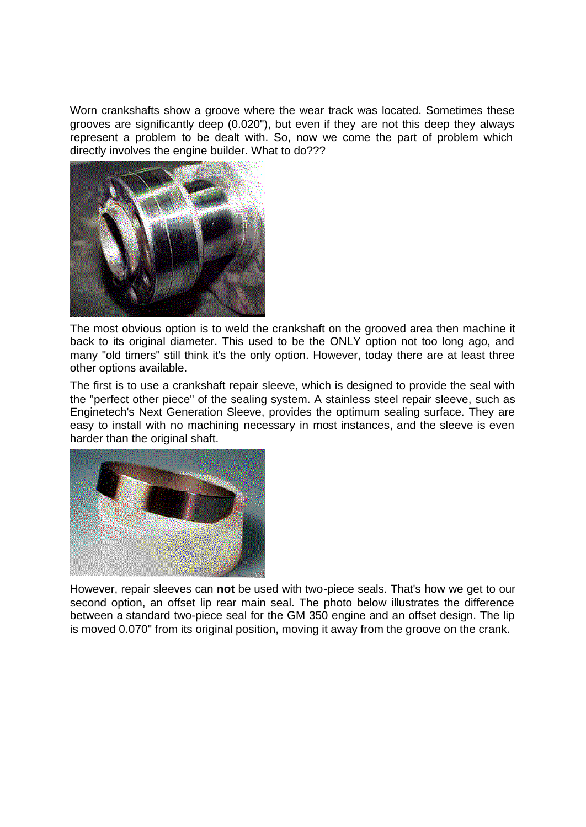Worn crankshafts show a groove where the wear track was located. Sometimes these grooves are significantly deep (0.020"), but even if they are not this deep they always represent a problem to be dealt with. So, now we come the part of problem which directly involves the engine builder. What to do???



The most obvious option is to weld the crankshaft on the grooved area then machine it back to its original diameter. This used to be the ONLY option not too long ago, and many "old timers" still think it's the only option. However, today there are at least three other options available.

The first is to use a crankshaft repair sleeve, which is designed to provide the seal with the "perfect other piece" of the sealing system. A stainless steel repair sleeve, such as Enginetech's Next Generation Sleeve, provides the optimum sealing surface. They are easy to install with no machining necessary in most instances, and the sleeve is even harder than the original shaft.



However, repair sleeves can **not** be used with two-piece seals. That's how we get to our second option, an offset lip rear main seal. The photo below illustrates the difference between a standard two-piece seal for the GM 350 engine and an offset design. The lip is moved 0.070" from its original position, moving it away from the groove on the crank.